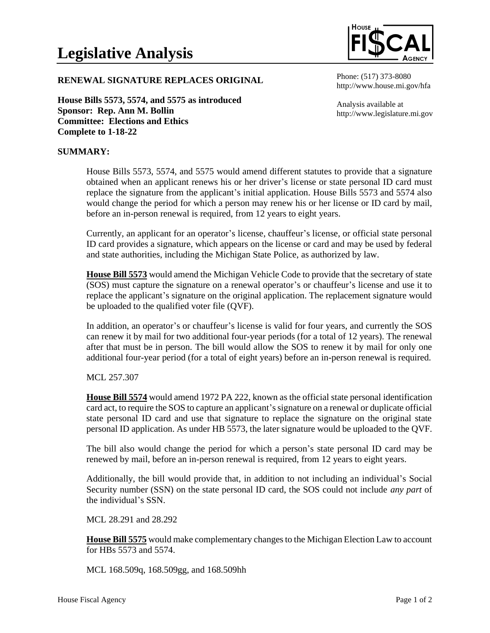

## **RENEWAL SIGNATURE REPLACES ORIGINAL**

**House Bills 5573, 5574, and 5575 as introduced Sponsor: Rep. Ann M. Bollin Committee: Elections and Ethics Complete to 1-18-22**

Phone: (517) 373-8080 http://www.house.mi.gov/hfa

Analysis available at http://www.legislature.mi.gov

## **SUMMARY:**

House Bills 5573, 5574, and 5575 would amend different statutes to provide that a signature obtained when an applicant renews his or her driver's license or state personal ID card must replace the signature from the applicant's initial application. House Bills 5573 and 5574 also would change the period for which a person may renew his or her license or ID card by mail, before an in-person renewal is required, from 12 years to eight years.

Currently, an applicant for an operator's license, chauffeur's license, or official state personal ID card provides a signature, which appears on the license or card and may be used by federal and state authorities, including the Michigan State Police, as authorized by law.

**House Bill 5573** would amend the Michigan Vehicle Code to provide that the secretary of state (SOS) must capture the signature on a renewal operator's or chauffeur's license and use it to replace the applicant's signature on the original application. The replacement signature would be uploaded to the qualified voter file (QVF).

In addition, an operator's or chauffeur's license is valid for four years, and currently the SOS can renew it by mail for two additional four-year periods (for a total of 12 years). The renewal after that must be in person. The bill would allow the SOS to renew it by mail for only one additional four-year period (for a total of eight years) before an in-person renewal is required.

## MCL 257.307

**House Bill 5574** would amend 1972 PA 222, known as the official state personal identification card act, to require the SOS to capture an applicant's signature on a renewal or duplicate official state personal ID card and use that signature to replace the signature on the original state personal ID application. As under HB 5573, the later signature would be uploaded to the QVF.

The bill also would change the period for which a person's state personal ID card may be renewed by mail, before an in-person renewal is required, from 12 years to eight years.

Additionally, the bill would provide that, in addition to not including an individual's Social Security number (SSN) on the state personal ID card, the SOS could not include *any part* of the individual's SSN.

MCL 28.291 and 28.292

**House Bill 5575** would make complementary changes to the Michigan Election Law to account for HBs 5573 and 5574.

MCL 168.509q, 168.509gg, and 168.509hh